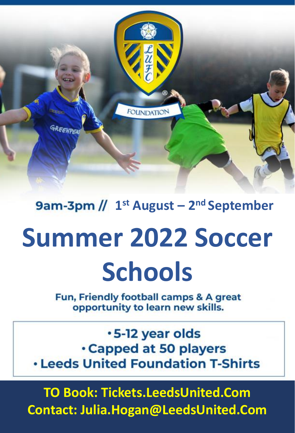FOUNDATION GREENPEA

**1 st August – 2 nd September** 

## **Summer 2022 Soccer Schools**

Fun, Friendly football camps & A great opportunity to learn new skills.

.5-12 year olds **Capped at 50 players . Leeds United Foundation T-Shirts** 

**TO Book: Tickets.LeedsUnited.Com Contact: Julia.Hogan@LeedsUnited.Com**